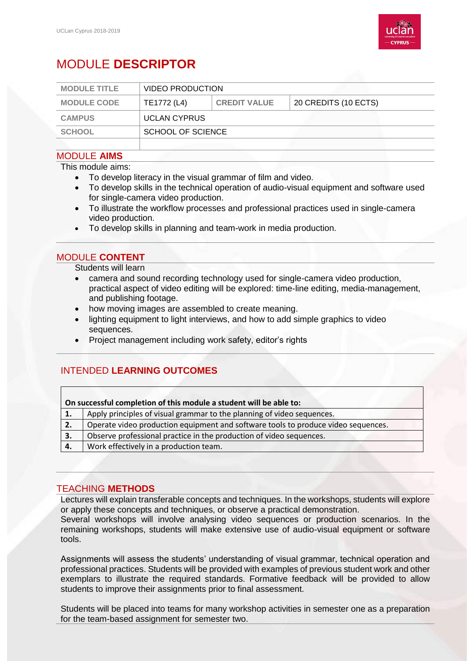

# MODULE **DESCRIPTOR**

| <b>MODULE TITLE</b> | <b>VIDEO PRODUCTION</b> |                     |                      |
|---------------------|-------------------------|---------------------|----------------------|
| <b>MODULE CODE</b>  | TE1772 (L4)             | <b>CREDIT VALUE</b> | 20 CREDITS (10 ECTS) |
| <b>CAMPUS</b>       | <b>UCLAN CYPRUS</b>     |                     |                      |
| <b>SCHOOL</b>       | SCHOOL OF SCIENCE       |                     |                      |
|                     |                         |                     |                      |

### MODULE **AIMS**

This module aims:

- To develop literacy in the visual grammar of film and video.
- To develop skills in the technical operation of audio-visual equipment and software used for single-camera video production.
- To illustrate the workflow processes and professional practices used in single-camera video production.
- To develop skills in planning and team-work in media production.

### MODULE **CONTENT**

Students will learn

- camera and sound recording technology used for single-camera video production, practical aspect of video editing will be explored: time-line editing, media-management, and publishing footage.
- how moving images are assembled to create meaning.
- lighting equipment to light interviews, and how to add simple graphics to video sequences.
- Project management including work safety, editor's rights

## INTENDED **LEARNING OUTCOMES**

| On successful completion of this module a student will be able to: |                                                                                   |  |  |
|--------------------------------------------------------------------|-----------------------------------------------------------------------------------|--|--|
| 1.                                                                 | Apply principles of visual grammar to the planning of video sequences.            |  |  |
| 2.                                                                 | Operate video production equipment and software tools to produce video sequences. |  |  |
| 3.                                                                 | Observe professional practice in the production of video sequences.               |  |  |
| 4.                                                                 | Work effectively in a production team.                                            |  |  |
|                                                                    |                                                                                   |  |  |

## TEACHING **METHODS**

Lectures will explain transferable concepts and techniques. In the workshops, students will explore or apply these concepts and techniques, or observe a practical demonstration.

Several workshops will involve analysing video sequences or production scenarios. In the remaining workshops, students will make extensive use of audio-visual equipment or software tools.

Assignments will assess the students' understanding of visual grammar, technical operation and professional practices. Students will be provided with examples of previous student work and other exemplars to illustrate the required standards. Formative feedback will be provided to allow students to improve their assignments prior to final assessment.

Students will be placed into teams for many workshop activities in semester one as a preparation for the team-based assignment for semester two.